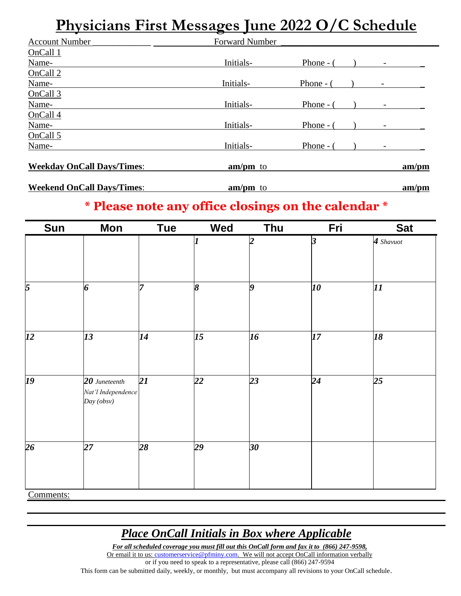## **Physicians First Messages June 2022 O/C Schedule**

| <b>Account Number</b>             | <b>Forward Number</b> |            |  |       |
|-----------------------------------|-----------------------|------------|--|-------|
| OnCall 1                          |                       |            |  |       |
| Name-                             | Initials-             | Phone $ ($ |  |       |
| OnCall 2                          |                       |            |  |       |
| Name-                             | Initials-             | Phone $ ($ |  |       |
| OnCall <sub>3</sub>               |                       |            |  |       |
| Name-                             | Initials-             | Phone $ ($ |  |       |
| OnCall 4                          |                       |            |  |       |
| Name-                             | Initials-             | Phone -    |  |       |
| OnCall 5                          |                       |            |  |       |
| Name-                             | Initials-             | Phone -    |  |       |
| <b>Weekday OnCall Days/Times:</b> | $am/pm$ to            |            |  | am/pm |
| <b>Weekend OnCall Days/Times:</b> | $am/pm$ to            |            |  | am/pm |

#### **\* Please note any office closings on the calendar \***

| Sun            | Mon                                                 | <b>Tue</b>      | <b>Wed</b> | Thu             | Fri | <b>Sat</b> |
|----------------|-----------------------------------------------------|-----------------|------------|-----------------|-----|------------|
|                |                                                     |                 |            | າ               | 3   | 4 Shavuot  |
| $\overline{5}$ | 6                                                   | 7               | 8          | 9               | 10  | 11         |
| 12             | 13                                                  | $\overline{14}$ | 15         | $\overline{16}$ | 17  | 18         |
| 19             | $20$ Juneteenth<br>Nat'l Independence<br>Day (obsv) | 21              | 22         | 23              | 24  | 25         |
| 26             | $\overline{27}$                                     | $\overline{28}$ | 29         | $\overline{30}$ |     |            |
| $\sim$         |                                                     |                 |            |                 |     |            |

Comments:

### *Place OnCall Initials in Box where Applicable*

*For all scheduled coverage you must fill out this OnCall form and fax it to (866) 247-9598,* Or email it to us[: customerservice@pfminy.com.](mailto:customerservice@pfminy.com) We will not accept OnCall information verbally or if you need to speak to a representative, please call (866) 247-9594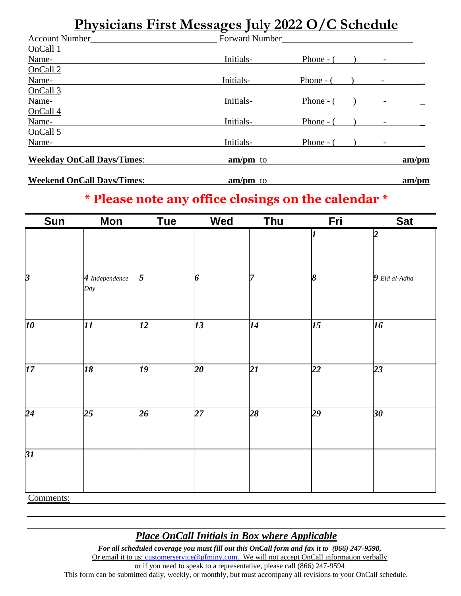### **Physicians First Messages July 2022 O/C Schedule**

| <b>Account Number</b>             | <b>Forward Number</b> |            |  |       |
|-----------------------------------|-----------------------|------------|--|-------|
| OnCall 1                          |                       |            |  |       |
| Name-                             | Initials-             | Phone $ ($ |  |       |
| OnCall 2                          |                       |            |  |       |
| Name-                             | Initials-             | Phone $ ($ |  |       |
| OnCall 3                          |                       |            |  |       |
| Name-                             | Initials-             | Phone $ ($ |  |       |
| OnCall 4                          |                       |            |  |       |
| Name-                             | Initials-             | Phone - (  |  |       |
| OnCall 5                          |                       |            |  |       |
| Name-                             | Initials-             | Phone - (  |  |       |
| <b>Weekday OnCall Days/Times:</b> | $am/m$ to             |            |  | am/pm |
| <b>Weekend OnCall Days/Times:</b> | $am/m$ to             |            |  | am/m  |

### **\* Please note any office closings on the calendar \***

| <b>Sun</b>              | <b>Mon</b>            | <b>Tue</b> | <b>Wed</b> | Thu | Fri             | <b>Sat</b>               |
|-------------------------|-----------------------|------------|------------|-----|-----------------|--------------------------|
|                         |                       |            |            |     | 1               | $\overline{\mathcal{L}}$ |
| $\overline{\mathbf{3}}$ | 4 Independence<br>Day | 5          | 6          | 7   | 8               | 9 Eid al-Adha            |
| 10                      | $\overline{\bm{H}}$   | 12         | 13         | 14  | $\overline{15}$ | $\overline{16}$          |
| 17 <sup>2</sup>         | 18                    | 19         | 20         | 21  | $\overline{22}$ | 23                       |
| $\overline{24}$         | 25                    | 26         | 27         | 28  | 29              | $30\,$                   |
| $\overline{31}$         |                       |            |            |     |                 |                          |
| Comments:               |                       |            |            |     |                 |                          |

#### *Place OnCall Initials in Box where Applicable*

*For all scheduled coverage you must fill out this OnCall form and fax it to (866) 247-9598,* Or email it to us[: customerservice@pfminy.com.](mailto:customerservice@pfminy.com) We will not accept OnCall information verbally

or if you need to speak to a representative, please call (866) 247-9594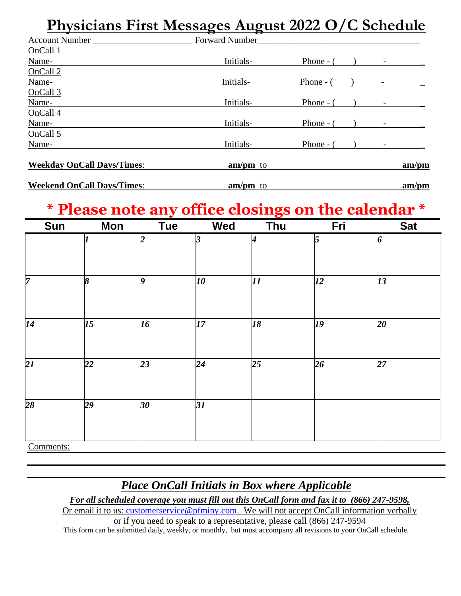### **Physicians First Messages August 2022 O/C Schedule**

| <b>Account Number</b>             | <b>Forward Number</b> |             |  |      |
|-----------------------------------|-----------------------|-------------|--|------|
| OnCall 1                          |                       |             |  |      |
| Name-                             | Initials-             | Phone - $($ |  |      |
| OnCall <sub>2</sub>               |                       |             |  |      |
| Name-                             | Initials-             | Phone -     |  |      |
| OnCall 3                          |                       |             |  |      |
| Name-                             | Initials-             | Phone -     |  |      |
| OnCall 4                          |                       |             |  |      |
| Name-                             | Initials-             | Phone - (   |  |      |
| OnCall 5                          |                       |             |  |      |
| Name-                             | Initials-             | Phone -     |  |      |
| <b>Weekday OnCall Days/Times:</b> | $am/pm$ to            |             |  | am/m |
| <b>Weekend OnCall Days/Times:</b> | $am/pm$ to            |             |  | am/m |

# **\* Please note any office closings on the calendar \***

| Sun             | <b>Mon</b>            | <b>Tue</b> | <b>Wed</b>      | Thu | Fri            | <b>Sat</b> |
|-----------------|-----------------------|------------|-----------------|-----|----------------|------------|
|                 | 7                     | 2          | 3               | 4   | $\overline{5}$ | 6          |
|                 |                       |            |                 |     |                |            |
| $\overline{7}$  | $\boldsymbol{\delta}$ | 9          | 10              | 11  | <i>12</i>      | 13         |
| $\overline{14}$ | 15                    | 16         | 17              | 18  | 19             | 20         |
| $\overline{21}$ | 22                    | 23         | 24              | 25  | 26             | 27         |
| $\overline{28}$ | $\overline{29}$       | 30         | $\overline{31}$ |     |                |            |
| Commente        |                       |            |                 |     |                |            |

Comments:

### *Place OnCall Initials in Box where Applicable*

*For all scheduled coverage you must fill out this OnCall form and fax it to (866) 247-9598,*

Or email it to us: [customerservice@pfminy.com.](mailto:customerservice@pfminy.com) We will not accept OnCall information verbally or if you need to speak to a representative, please call (866) 247-9594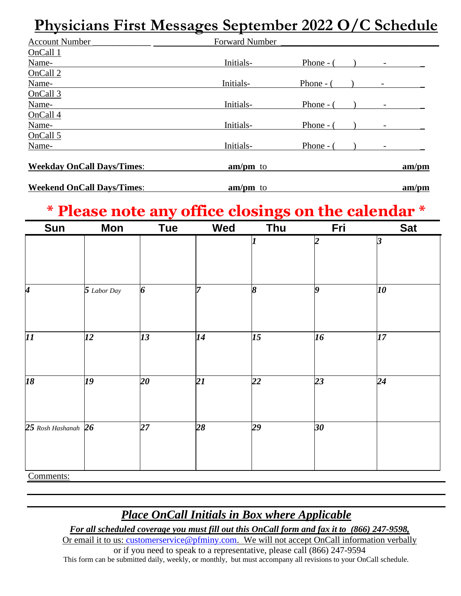## **Physicians First Messages September 2022 O/C Schedule**

| <b>Account Number</b>             | <b>Forward Number</b> |           |  |       |
|-----------------------------------|-----------------------|-----------|--|-------|
| OnCall <sub>1</sub>               |                       |           |  |       |
| Name-                             | Initials-             | Phone -   |  |       |
| OnCall 2                          |                       |           |  |       |
| Name-                             | Initials-             | Phone - ( |  |       |
| OnCall 3                          |                       |           |  |       |
| Name-                             | Initials-             | Phone -   |  |       |
| OnCall 4                          |                       |           |  |       |
| Name-                             | Initials-             | Phone -   |  |       |
| OnCall 5                          |                       |           |  |       |
| Name-                             | Initials-             | Phone -   |  |       |
| <b>Weekday OnCall Days/Times:</b> | $am/pm$ to            |           |  | am/pm |
| <b>Weekend OnCall Days/Times:</b> | $am/pm$ to            |           |  | am/pm |

## **\* Please note any office closings on the calendar \***

| <b>Sun</b>                  | <b>Mon</b>  | <b>Tue</b> | Wed | Thu | Fri                     | <b>Sat</b> |
|-----------------------------|-------------|------------|-----|-----|-------------------------|------------|
|                             |             |            |     |     | $\overline{\mathbf{2}}$ | 3          |
| $\overline{\boldsymbol{4}}$ | 5 Labor Day | 6          | 7   | 8   | $\boldsymbol{g}$        | 10         |
| $\boldsymbol{\mathit{11}}$  | 12          | 13         | 14  | 15  | 16                      | 17         |
| 18                          | 19          | 20         | 21  | 22  | 23                      | 24         |
| 25 Rosh Hashanah $26$       |             | 27         | 28  | 29  | 30                      |            |
| Comments:                   |             |            |     |     |                         |            |

#### *Place OnCall Initials in Box where Applicable*

*For all scheduled coverage you must fill out this OnCall form and fax it to (866) 247-9598,*

Or email it to us: [customerservice@pfminy.com.](mailto:customerservice@pfminy.com) We will not accept OnCall information verbally or if you need to speak to a representative, please call (866) 247-9594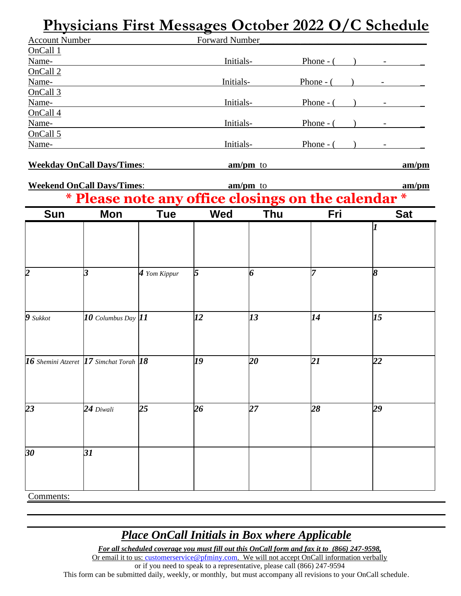### **Physicians First Messages October 2022 O/C Schedule**

| <b>Account Number</b>                         |                                   |                | Forward Number |            |                                                   |                       |
|-----------------------------------------------|-----------------------------------|----------------|----------------|------------|---------------------------------------------------|-----------------------|
| OnCall 1                                      |                                   |                |                |            |                                                   |                       |
| Name-<br>OnCall <sub>2</sub>                  |                                   |                | Initials-      |            | Phone - $($ ) -                                   |                       |
| Name-                                         |                                   |                | Initials-      |            |                                                   | Phone - $($ $)$ - $($ |
| OnCall 3                                      |                                   |                |                |            |                                                   |                       |
| Name-                                         |                                   |                | Initials-      |            |                                                   | Phone - $($ $)$ - $($ |
| OnCall 4                                      |                                   |                |                |            |                                                   |                       |
| Name-                                         |                                   |                | Initials-      |            | Phone - $($ ) -                                   |                       |
| OnCall 5                                      |                                   |                |                |            |                                                   |                       |
| Name-                                         |                                   |                | Initials-      |            |                                                   | Phone - $($ $)$ - $-$ |
|                                               | <b>Weekday OnCall Days/Times:</b> |                |                | $am/pm$ to |                                                   | am/m                  |
|                                               |                                   |                |                |            |                                                   |                       |
|                                               | <b>Weekend OnCall Days/Times:</b> |                |                | $am/pm$ to |                                                   | am/m                  |
| $\ast$                                        |                                   |                |                |            | Please note any office closings on the calendar * |                       |
| <b>Sun</b>                                    | Mon                               | <b>Tue</b>     | Wed            | <b>Thu</b> | Fri                                               | <b>Sat</b>            |
|                                               |                                   |                |                |            |                                                   |                       |
|                                               |                                   |                |                |            |                                                   |                       |
|                                               |                                   |                |                |            |                                                   |                       |
|                                               |                                   |                |                |            |                                                   |                       |
| $\overline{2}$                                | 3                                 | $4$ Yom Kippur | 5              | 6          |                                                   | 8                     |
|                                               |                                   |                |                |            |                                                   |                       |
|                                               |                                   |                |                |            |                                                   |                       |
|                                               |                                   |                |                |            |                                                   |                       |
| $9$ Sukkot                                    | $10$ Columbus Day $11$            |                | 12             | 13         | 14                                                | 15                    |
|                                               |                                   |                |                |            |                                                   |                       |
|                                               |                                   |                |                |            |                                                   |                       |
| 16 Shemini Atzeret $ 17$ Simchat Torah $ 18 $ |                                   |                | 19             | 20         | 21                                                | 22                    |
|                                               |                                   |                |                |            |                                                   |                       |
|                                               |                                   |                |                |            |                                                   |                       |
|                                               |                                   |                |                |            |                                                   |                       |
| 23                                            | $24$ Diwali                       | 25             | 26             | 27         | 28                                                | 29                    |
|                                               |                                   |                |                |            |                                                   |                       |
|                                               |                                   |                |                |            |                                                   |                       |
|                                               |                                   |                |                |            |                                                   |                       |
| 30                                            | 31                                |                |                |            |                                                   |                       |
|                                               |                                   |                |                |            |                                                   |                       |
|                                               |                                   |                |                |            |                                                   |                       |
|                                               |                                   |                |                |            |                                                   |                       |
| Comments:                                     |                                   |                |                |            |                                                   |                       |

#### *Place OnCall Initials in Box where Applicable*

*For all scheduled coverage you must fill out this OnCall form and fax it to (866) 247-9598,*

Or email it to us[: customerservice@pfminy.com.](mailto:customerservice@pfminy.com) We will not accept OnCall information verbally

or if you need to speak to a representative, please call (866) 247-9594 This form can be submitted daily, weekly, or monthly, but must accompany all revisions to your OnCall schedule.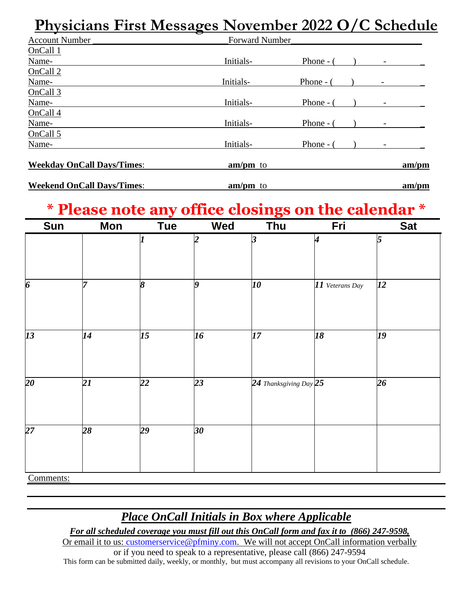### **Physicians First Messages November 2022 O/C Schedule**

| <b>Account Number</b>             | <b>Forward Number</b> |           |  |  |       |  |
|-----------------------------------|-----------------------|-----------|--|--|-------|--|
| OnCall 1                          |                       |           |  |  |       |  |
| Name-                             | Initials-             | Phone - ( |  |  |       |  |
| OnCall <sub>2</sub>               |                       |           |  |  |       |  |
| Name-                             | Initials-             | Phone -   |  |  |       |  |
| OnCall <sub>3</sub>               |                       |           |  |  |       |  |
| Name-                             | Initials-             | Phone -   |  |  |       |  |
| OnCall 4                          |                       |           |  |  |       |  |
| Name-                             | Initials-             | Phone -   |  |  |       |  |
| OnCall 5                          |                       |           |  |  |       |  |
| Name-                             | Initials-             | Phone -   |  |  |       |  |
| <b>Weekday OnCall Days/Times:</b> | $am/pm$ to            |           |  |  | am/pm |  |
| <b>Weekend OnCall Days/Times:</b> | $am/pm$ to            |           |  |  | am/pm |  |

## **\* Please note any office closings on the calendar \***

| Sun              | <b>Mon</b> | <b>Tue</b> | Wed             | Thu                      | Fri                         | <b>Sat</b> |
|------------------|------------|------------|-----------------|--------------------------|-----------------------------|------------|
|                  |            |            | $\overline{2}$  | 3                        | $\overline{\boldsymbol{4}}$ | 5          |
|                  |            |            |                 |                          |                             |            |
| $\boldsymbol{6}$ | 7          | 8          | O               | 10                       | 11 Veterans Day             | 12         |
|                  |            |            |                 |                          |                             |            |
| $\overline{13}$  | 14         | 15         | 16              | 17                       | 18                          | 19         |
|                  |            |            |                 |                          |                             |            |
| $20\,$           | 21         | 22         | 23              | 24 Thanksgiving Day $25$ |                             | 26         |
|                  |            |            |                 |                          |                             |            |
| $\overline{27}$  | 28         | 29         | 30 <sub>o</sub> |                          |                             |            |
|                  |            |            |                 |                          |                             |            |
| Comments:        |            |            |                 |                          |                             |            |

#### *Place OnCall Initials in Box where Applicable*

*For all scheduled coverage you must fill out this OnCall form and fax it to (866) 247-9598,*

Or email it to us: [customerservice@pfminy.com.](mailto:customerservice@pfminy.com) We will not accept OnCall information verbally or if you need to speak to a representative, please call (866) 247-9594 This form can be submitted daily, weekly, or monthly, but must accompany all revisions to your OnCall schedule.